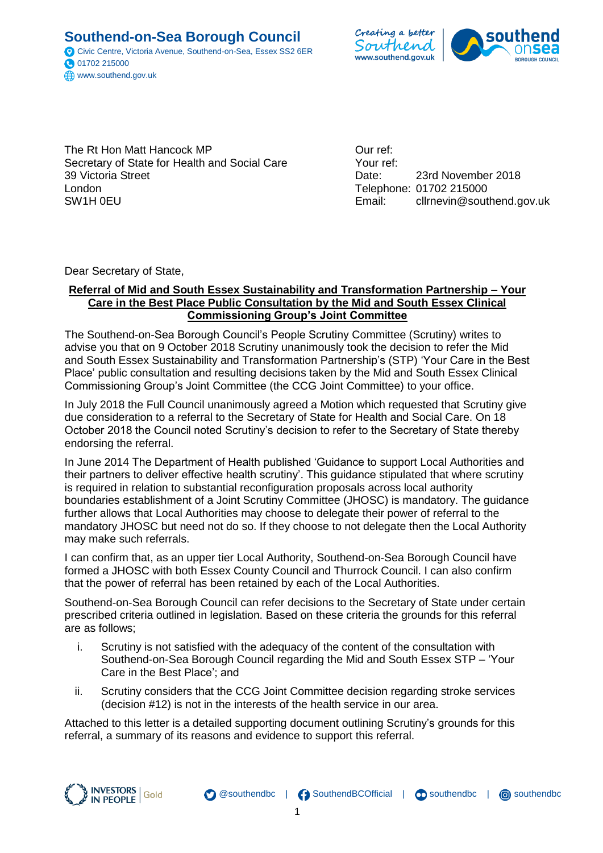**Southend-on-Sea Borough Council** Civic Centre, Victoria Avenue, Southend-on-Sea, Essex SS2 6ER 01702 215000 www.southend.gov.uk



The Rt Hon Matt Hancock MP Secretary of State for Health and Social Care 39 Victoria Street London SW1H 0EU

Our ref: Your ref: Date: 23rd November 2018 Telephone: 01702 215000 Email: cllrnevin@southend.gov.uk

Dear Secretary of State,

#### **Referral of Mid and South Essex Sustainability and Transformation Partnership – Your Care in the Best Place Public Consultation by the Mid and South Essex Clinical Commissioning Group's Joint Committee**

The Southend-on-Sea Borough Council's People Scrutiny Committee (Scrutiny) writes to advise you that on 9 October 2018 Scrutiny unanimously took the decision to refer the Mid and South Essex Sustainability and Transformation Partnership's (STP) 'Your Care in the Best Place' public consultation and resulting decisions taken by the Mid and South Essex Clinical Commissioning Group's Joint Committee (the CCG Joint Committee) to your office.

In July 2018 the Full Council unanimously agreed a Motion which requested that Scrutiny give due consideration to a referral to the Secretary of State for Health and Social Care. On 18 October 2018 the Council noted Scrutiny's decision to refer to the Secretary of State thereby endorsing the referral.

In June 2014 The Department of Health published 'Guidance to support Local Authorities and their partners to deliver effective health scrutiny'. This guidance stipulated that where scrutiny is required in relation to substantial reconfiguration proposals across local authority boundaries establishment of a Joint Scrutiny Committee (JHOSC) is mandatory. The guidance further allows that Local Authorities may choose to delegate their power of referral to the mandatory JHOSC but need not do so. If they choose to not delegate then the Local Authority may make such referrals.

I can confirm that, as an upper tier Local Authority, Southend-on-Sea Borough Council have formed a JHOSC with both Essex County Council and Thurrock Council. I can also confirm that the power of referral has been retained by each of the Local Authorities.

Southend-on-Sea Borough Council can refer decisions to the Secretary of State under certain prescribed criteria outlined in legislation. Based on these criteria the grounds for this referral are as follows;

- i. Scrutiny is not satisfied with the adequacy of the content of the consultation with Southend-on-Sea Borough Council regarding the Mid and South Essex STP – 'Your Care in the Best Place'; and
- ii. Scrutiny considers that the CCG Joint Committee decision regarding stroke services (decision #12) is not in the interests of the health service in our area.

Attached to this letter is a detailed supporting document outlining Scrutiny's grounds for this referral, a summary of its reasons and evidence to support this referral.

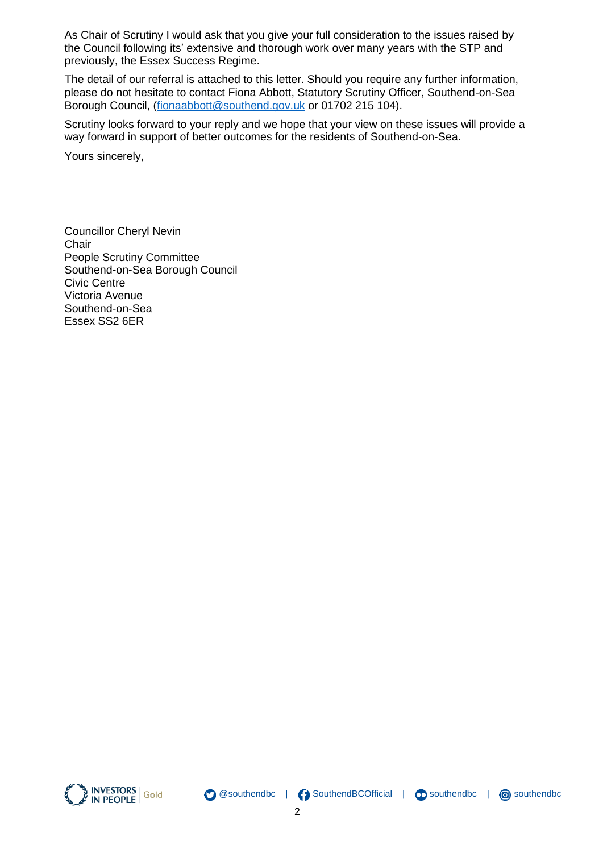As Chair of Scrutiny I would ask that you give your full consideration to the issues raised by the Council following its' extensive and thorough work over many years with the STP and previously, the Essex Success Regime.

The detail of our referral is attached to this letter. Should you require any further information, please do not hesitate to contact Fiona Abbott, Statutory Scrutiny Officer, Southend-on-Sea Borough Council, [\(fionaabbott@southend.gov.uk](mailto:fionaabbott@southend.gov.uk) or 01702 215 104).

Scrutiny looks forward to your reply and we hope that your view on these issues will provide a way forward in support of better outcomes for the residents of Southend-on-Sea.

Yours sincerely,

Councillor Cheryl Nevin **Chair** People Scrutiny Committee Southend-on-Sea Borough Council Civic Centre Victoria Avenue Southend-on-Sea Essex SS2 6ER





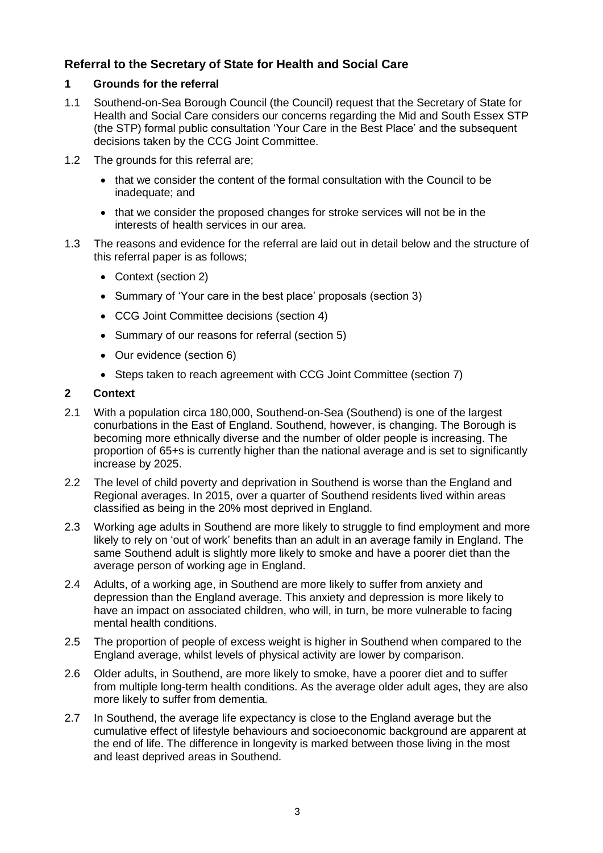# **Referral to the Secretary of State for Health and Social Care**

# **1 Grounds for the referral**

- 1.1 Southend-on-Sea Borough Council (the Council) request that the Secretary of State for Health and Social Care considers our concerns regarding the Mid and South Essex STP (the STP) formal public consultation 'Your Care in the Best Place' and the subsequent decisions taken by the CCG Joint Committee.
- 1.2 The grounds for this referral are;
	- that we consider the content of the formal consultation with the Council to be inadequate; and
	- that we consider the proposed changes for stroke services will not be in the interests of health services in our area.
- 1.3 The reasons and evidence for the referral are laid out in detail below and the structure of this referral paper is as follows;
	- Context (section 2)
	- Summary of 'Your care in the best place' proposals (section 3)
	- CCG Joint Committee decisions (section 4)
	- Summary of our reasons for referral (section 5)
	- Our evidence (section 6)
	- Steps taken to reach agreement with CCG Joint Committee (section 7)

# **2 Context**

- 2.1 With a population circa 180,000, Southend-on-Sea (Southend) is one of the largest conurbations in the East of England. Southend, however, is changing. The Borough is becoming more ethnically diverse and the number of older people is increasing. The proportion of 65+s is currently higher than the national average and is set to significantly increase by 2025.
- 2.2 The level of child poverty and deprivation in Southend is worse than the England and Regional averages. In 2015, over a quarter of Southend residents lived within areas classified as being in the 20% most deprived in England.
- 2.3 Working age adults in Southend are more likely to struggle to find employment and more likely to rely on 'out of work' benefits than an adult in an average family in England. The same Southend adult is slightly more likely to smoke and have a poorer diet than the average person of working age in England.
- 2.4 Adults, of a working age, in Southend are more likely to suffer from anxiety and depression than the England average. This anxiety and depression is more likely to have an impact on associated children, who will, in turn, be more vulnerable to facing mental health conditions.
- 2.5 The proportion of people of excess weight is higher in Southend when compared to the England average, whilst levels of physical activity are lower by comparison.
- 2.6 Older adults, in Southend, are more likely to smoke, have a poorer diet and to suffer from multiple long-term health conditions. As the average older adult ages, they are also more likely to suffer from dementia.
- 2.7 In Southend, the average life expectancy is close to the England average but the cumulative effect of lifestyle behaviours and socioeconomic background are apparent at the end of life. The difference in longevity is marked between those living in the most and least deprived areas in Southend.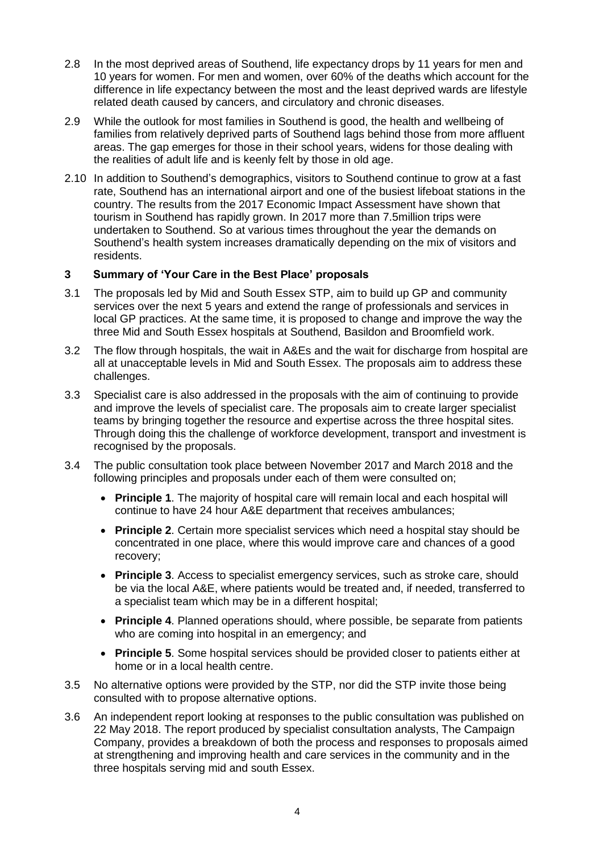- 2.8 In the most deprived areas of Southend, life expectancy drops by 11 years for men and 10 years for women. For men and women, over 60% of the deaths which account for the difference in life expectancy between the most and the least deprived wards are lifestyle related death caused by cancers, and circulatory and chronic diseases.
- 2.9 While the outlook for most families in Southend is good, the health and wellbeing of families from relatively deprived parts of Southend lags behind those from more affluent areas. The gap emerges for those in their school years, widens for those dealing with the realities of adult life and is keenly felt by those in old age.
- 2.10 In addition to Southend's demographics, visitors to Southend continue to grow at a fast rate, Southend has an international airport and one of the busiest lifeboat stations in the country. The results from the 2017 Economic Impact Assessment have shown that tourism in Southend has rapidly grown. In 2017 more than 7.5million trips were undertaken to Southend. So at various times throughout the year the demands on Southend's health system increases dramatically depending on the mix of visitors and residents.

# **3 Summary of 'Your Care in the Best Place' proposals**

- 3.1 The proposals led by Mid and South Essex STP, aim to build up GP and community services over the next 5 years and extend the range of professionals and services in local GP practices. At the same time, it is proposed to change and improve the way the three Mid and South Essex hospitals at Southend, Basildon and Broomfield work.
- 3.2 The flow through hospitals, the wait in A&Es and the wait for discharge from hospital are all at unacceptable levels in Mid and South Essex. The proposals aim to address these challenges.
- 3.3 Specialist care is also addressed in the proposals with the aim of continuing to provide and improve the levels of specialist care. The proposals aim to create larger specialist teams by bringing together the resource and expertise across the three hospital sites. Through doing this the challenge of workforce development, transport and investment is recognised by the proposals.
- <span id="page-3-0"></span>3.4 The public consultation took place between November 2017 and March 2018 and the following principles and proposals under each of them were consulted on;
	- **Principle 1**. The majority of hospital care will remain local and each hospital will continue to have 24 hour A&E department that receives ambulances;
	- **Principle 2**. Certain more specialist services which need a hospital stay should be concentrated in one place, where this would improve care and chances of a good recovery;
	- **Principle 3**. Access to specialist emergency services, such as stroke care, should be via the local A&E, where patients would be treated and, if needed, transferred to a specialist team which may be in a different hospital;
	- **Principle 4**. Planned operations should, where possible, be separate from patients who are coming into hospital in an emergency; and
	- **Principle 5**. Some hospital services should be provided closer to patients either at home or in a local health centre.
- 3.5 No alternative options were provided by the STP, nor did the STP invite those being consulted with to propose alternative options.
- 3.6 An independent report looking at responses to the public consultation was published on 22 May 2018. The report produced by specialist consultation analysts, The Campaign Company, provides a breakdown of both the process and responses to proposals aimed at strengthening and improving health and care services in the community and in the three hospitals serving mid and south Essex.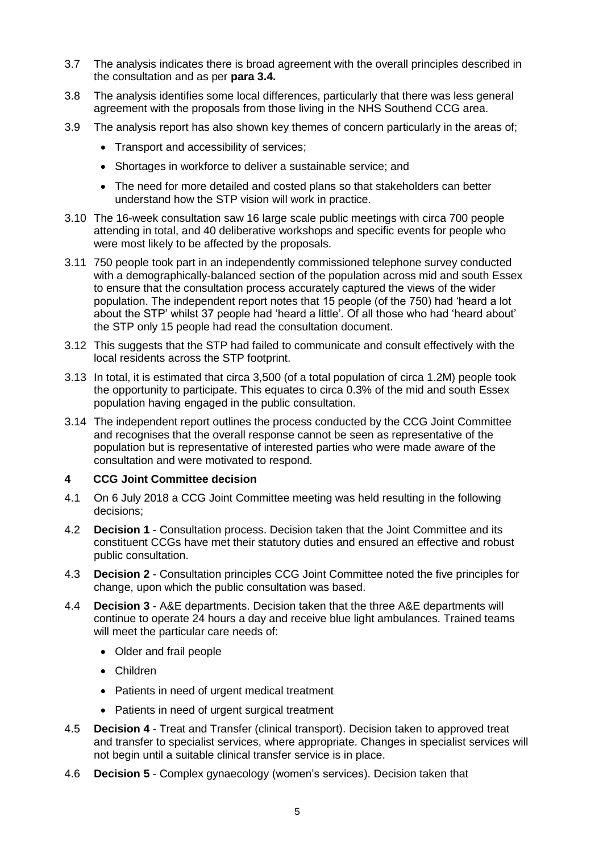- 3.7 The analysis indicates there is broad agreement with the overall principles described in the consultation and as per **para [3.4.](#page-3-0)**
- 3.8 The analysis identifies some local differences, particularly that there was less general agreement with the proposals from those living in the NHS Southend CCG area.
- 3.9 The analysis report has also shown key themes of concern particularly in the areas of;
	- Transport and accessibility of services;
	- Shortages in workforce to deliver a sustainable service; and
	- The need for more detailed and costed plans so that stakeholders can better understand how the STP vision will work in practice.
- 3.10 The 16-week consultation saw 16 large scale public meetings with circa 700 people attending in total, and 40 deliberative workshops and specific events for people who were most likely to be affected by the proposals.
- 3.11 750 people took part in an independently commissioned telephone survey conducted with a demographically-balanced section of the population across mid and south Essex to ensure that the consultation process accurately captured the views of the wider population. The independent report notes that 15 people (of the 750) had 'heard a lot about the STP' whilst 37 people had 'heard a little'. Of all those who had 'heard about' the STP only 15 people had read the consultation document.
- 3.12 This suggests that the STP had failed to communicate and consult effectively with the local residents across the STP footprint.
- 3.13 In total, it is estimated that circa 3,500 (of a total population of circa 1.2M) people took the opportunity to participate. This equates to circa 0.3% of the mid and south Essex population having engaged in the public consultation.
- 3.14 The independent report outlines the process conducted by the CCG Joint Committee and recognises that the overall response cannot be seen as representative of the population but is representative of interested parties who were made aware of the consultation and were motivated to respond.

# **4 CCG Joint Committee decision**

- 4.1 On 6 July 2018 a CCG Joint Committee meeting was held resulting in the following decisions;
- 4.2 **Decision 1** Consultation process. Decision taken that the Joint Committee and its constituent CCGs have met their statutory duties and ensured an effective and robust public consultation.
- 4.3 **Decision 2** Consultation principles CCG Joint Committee noted the five principles for change, upon which the public consultation was based.
- 4.4 **Decision 3** A&E departments. Decision taken that the three A&E departments will continue to operate 24 hours a day and receive blue light ambulances. Trained teams will meet the particular care needs of:
	- Older and frail people
	- Children
	- Patients in need of urgent medical treatment
	- Patients in need of urgent surgical treatment
- 4.5 **Decision 4** Treat and Transfer (clinical transport). Decision taken to approved treat and transfer to specialist services, where appropriate. Changes in specialist services will not begin until a suitable clinical transfer service is in place.
- 4.6 **Decision 5** Complex gynaecology (women's services). Decision taken that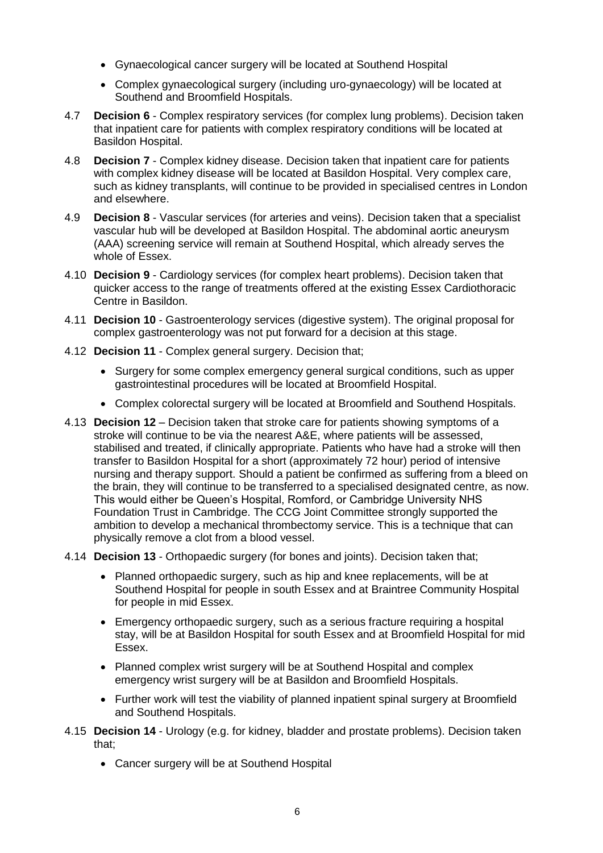- Gynaecological cancer surgery will be located at Southend Hospital
- Complex gynaecological surgery (including uro-gynaecology) will be located at Southend and Broomfield Hospitals.
- 4.7 **Decision 6** Complex respiratory services (for complex lung problems). Decision taken that inpatient care for patients with complex respiratory conditions will be located at Basildon Hospital.
- 4.8 **Decision 7** Complex kidney disease. Decision taken that inpatient care for patients with complex kidney disease will be located at Basildon Hospital. Very complex care, such as kidney transplants, will continue to be provided in specialised centres in London and elsewhere.
- 4.9 **Decision 8** Vascular services (for arteries and veins). Decision taken that a specialist vascular hub will be developed at Basildon Hospital. The abdominal aortic aneurysm (AAA) screening service will remain at Southend Hospital, which already serves the whole of Essex.
- 4.10 **Decision 9** Cardiology services (for complex heart problems). Decision taken that quicker access to the range of treatments offered at the existing Essex Cardiothoracic Centre in Basildon.
- 4.11 **Decision 10** Gastroenterology services (digestive system). The original proposal for complex gastroenterology was not put forward for a decision at this stage.
- 4.12 **Decision 11** Complex general surgery. Decision that;
	- Surgery for some complex emergency general surgical conditions, such as upper gastrointestinal procedures will be located at Broomfield Hospital.
	- Complex colorectal surgery will be located at Broomfield and Southend Hospitals.
- 4.13 **Decision 12** Decision taken that stroke care for patients showing symptoms of a stroke will continue to be via the nearest A&E, where patients will be assessed, stabilised and treated, if clinically appropriate. Patients who have had a stroke will then transfer to Basildon Hospital for a short (approximately 72 hour) period of intensive nursing and therapy support. Should a patient be confirmed as suffering from a bleed on the brain, they will continue to be transferred to a specialised designated centre, as now. This would either be Queen's Hospital, Romford, or Cambridge University NHS Foundation Trust in Cambridge. The CCG Joint Committee strongly supported the ambition to develop a mechanical thrombectomy service. This is a technique that can physically remove a clot from a blood vessel.
- 4.14 **Decision 13** Orthopaedic surgery (for bones and joints). Decision taken that;
	- Planned orthopaedic surgery, such as hip and knee replacements, will be at Southend Hospital for people in south Essex and at Braintree Community Hospital for people in mid Essex.
	- Emergency orthopaedic surgery, such as a serious fracture requiring a hospital stay, will be at Basildon Hospital for south Essex and at Broomfield Hospital for mid Essex.
	- Planned complex wrist surgery will be at Southend Hospital and complex emergency wrist surgery will be at Basildon and Broomfield Hospitals.
	- Further work will test the viability of planned inpatient spinal surgery at Broomfield and Southend Hospitals.
- 4.15 **Decision 14**  Urology (e.g. for kidney, bladder and prostate problems). Decision taken that;
	- Cancer surgery will be at Southend Hospital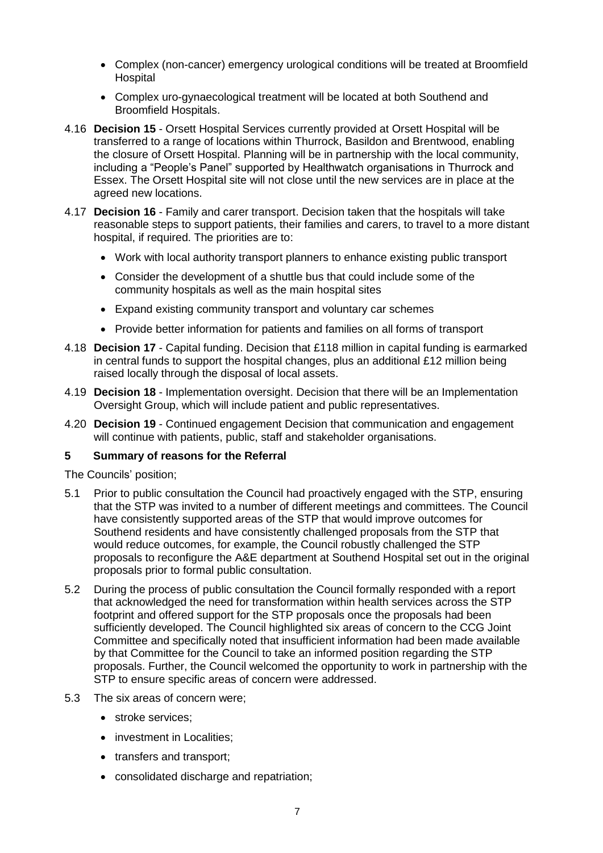- Complex (non-cancer) emergency urological conditions will be treated at Broomfield Hospital
- Complex uro-gynaecological treatment will be located at both Southend and Broomfield Hospitals.
- 4.16 **Decision 15** Orsett Hospital Services currently provided at Orsett Hospital will be transferred to a range of locations within Thurrock, Basildon and Brentwood, enabling the closure of Orsett Hospital. Planning will be in partnership with the local community, including a "People's Panel" supported by Healthwatch organisations in Thurrock and Essex. The Orsett Hospital site will not close until the new services are in place at the agreed new locations.
- 4.17 **Decision 16** Family and carer transport. Decision taken that the hospitals will take reasonable steps to support patients, their families and carers, to travel to a more distant hospital, if required. The priorities are to:
	- Work with local authority transport planners to enhance existing public transport
	- Consider the development of a shuttle bus that could include some of the community hospitals as well as the main hospital sites
	- Expand existing community transport and voluntary car schemes
	- Provide better information for patients and families on all forms of transport
- 4.18 **Decision 17**  Capital funding. Decision that £118 million in capital funding is earmarked in central funds to support the hospital changes, plus an additional £12 million being raised locally through the disposal of local assets.
- 4.19 **Decision 18** Implementation oversight. Decision that there will be an Implementation Oversight Group, which will include patient and public representatives.
- 4.20 **Decision 19** Continued engagement Decision that communication and engagement will continue with patients, public, staff and stakeholder organisations.

# **5 Summary of reasons for the Referral**

The Councils' position;

- 5.1 Prior to public consultation the Council had proactively engaged with the STP, ensuring that the STP was invited to a number of different meetings and committees. The Council have consistently supported areas of the STP that would improve outcomes for Southend residents and have consistently challenged proposals from the STP that would reduce outcomes, for example, the Council robustly challenged the STP proposals to reconfigure the A&E department at Southend Hospital set out in the original proposals prior to formal public consultation.
- 5.2 During the process of public consultation the Council formally responded with a report that acknowledged the need for transformation within health services across the STP footprint and offered support for the STP proposals once the proposals had been sufficiently developed. The Council highlighted six areas of concern to the CCG Joint Committee and specifically noted that insufficient information had been made available by that Committee for the Council to take an informed position regarding the STP proposals. Further, the Council welcomed the opportunity to work in partnership with the STP to ensure specific areas of concern were addressed.
- <span id="page-6-0"></span>5.3 The six areas of concern were;
	- stroke services;
	- investment in Localities;
	- transfers and transport;
	- consolidated discharge and repatriation;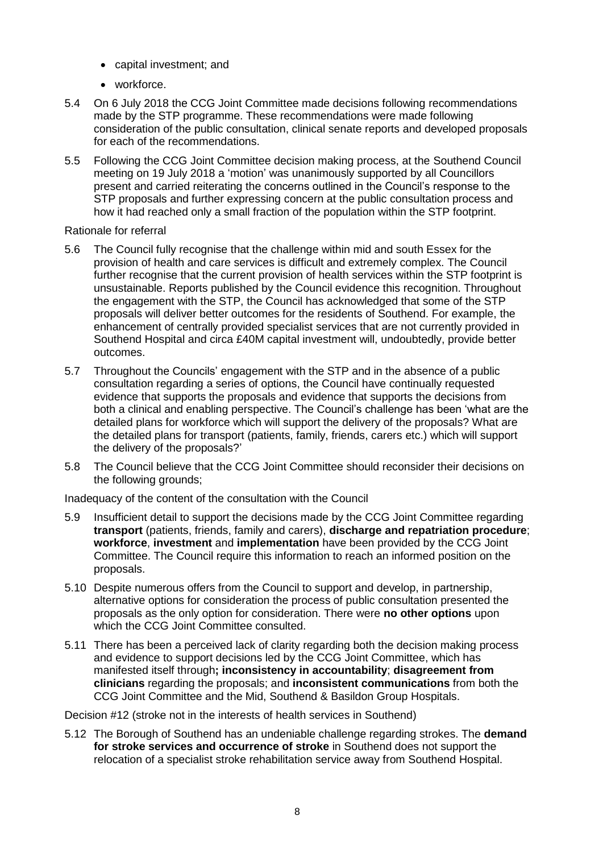- capital investment: and
- workforce.
- 5.4 On 6 July 2018 the CCG Joint Committee made decisions following recommendations made by the STP programme. These recommendations were made following consideration of the public consultation, clinical senate reports and developed proposals for each of the recommendations.
- 5.5 Following the CCG Joint Committee decision making process, at the Southend Council meeting on 19 July 2018 a 'motion' was unanimously supported by all Councillors present and carried reiterating the concerns outlined in the Council's response to the STP proposals and further expressing concern at the public consultation process and how it had reached only a small fraction of the population within the STP footprint.

Rationale for referral

- 5.6 The Council fully recognise that the challenge within mid and south Essex for the provision of health and care services is difficult and extremely complex. The Council further recognise that the current provision of health services within the STP footprint is unsustainable. Reports published by the Council evidence this recognition. Throughout the engagement with the STP, the Council has acknowledged that some of the STP proposals will deliver better outcomes for the residents of Southend. For example, the enhancement of centrally provided specialist services that are not currently provided in Southend Hospital and circa £40M capital investment will, undoubtedly, provide better outcomes.
- 5.7 Throughout the Councils' engagement with the STP and in the absence of a public consultation regarding a series of options, the Council have continually requested evidence that supports the proposals and evidence that supports the decisions from both a clinical and enabling perspective. The Council's challenge has been 'what are the detailed plans for workforce which will support the delivery of the proposals? What are the detailed plans for transport (patients, family, friends, carers etc.) which will support the delivery of the proposals?'
- 5.8 The Council believe that the CCG Joint Committee should reconsider their decisions on the following grounds;

Inadequacy of the content of the consultation with the Council

- 5.9 Insufficient detail to support the decisions made by the CCG Joint Committee regarding **transport** (patients, friends, family and carers), **discharge and repatriation procedure**; **workforce**, **investment** and **implementation** have been provided by the CCG Joint Committee. The Council require this information to reach an informed position on the proposals.
- 5.10 Despite numerous offers from the Council to support and develop, in partnership, alternative options for consideration the process of public consultation presented the proposals as the only option for consideration. There were **no other options** upon which the CCG Joint Committee consulted.
- 5.11 There has been a perceived lack of clarity regarding both the decision making process and evidence to support decisions led by the CCG Joint Committee, which has manifested itself through**; inconsistency in accountability**; **disagreement from clinicians** regarding the proposals; and **inconsistent communications** from both the CCG Joint Committee and the Mid, Southend & Basildon Group Hospitals.

Decision #12 (stroke not in the interests of health services in Southend)

5.12 The Borough of Southend has an undeniable challenge regarding strokes. The **demand for stroke services and occurrence of stroke** in Southend does not support the relocation of a specialist stroke rehabilitation service away from Southend Hospital.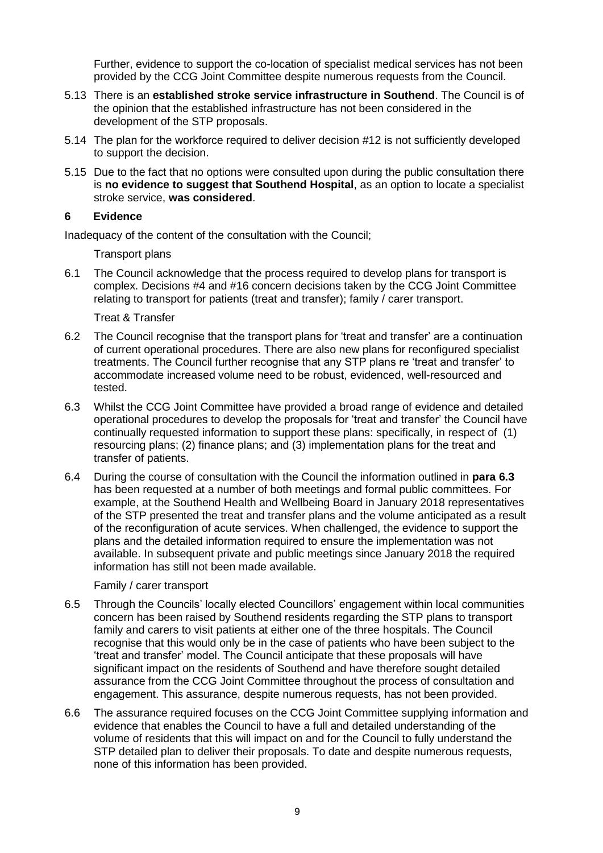Further, evidence to support the co-location of specialist medical services has not been provided by the CCG Joint Committee despite numerous requests from the Council.

- 5.13 There is an **established stroke service infrastructure in Southend**. The Council is of the opinion that the established infrastructure has not been considered in the development of the STP proposals.
- 5.14 The plan for the workforce required to deliver decision #12 is not sufficiently developed to support the decision.
- 5.15 Due to the fact that no options were consulted upon during the public consultation there is **no evidence to suggest that Southend Hospital**, as an option to locate a specialist stroke service, **was considered**.

#### **6 Evidence**

Inadequacy of the content of the consultation with the Council;

Transport plans

6.1 The Council acknowledge that the process required to develop plans for transport is complex. Decisions #4 and #16 concern decisions taken by the CCG Joint Committee relating to transport for patients (treat and transfer); family / carer transport.

Treat & Transfer

- 6.2 The Council recognise that the transport plans for 'treat and transfer' are a continuation of current operational procedures. There are also new plans for reconfigured specialist treatments. The Council further recognise that any STP plans re 'treat and transfer' to accommodate increased volume need to be robust, evidenced, well-resourced and tested.
- <span id="page-8-0"></span>6.3 Whilst the CCG Joint Committee have provided a broad range of evidence and detailed operational procedures to develop the proposals for 'treat and transfer' the Council have continually requested information to support these plans: specifically, in respect of (1) resourcing plans; (2) finance plans; and (3) implementation plans for the treat and transfer of patients.
- 6.4 During the course of consultation with the Council the information outlined in **para [6.3](#page-8-0)** has been requested at a number of both meetings and formal public committees. For example, at the Southend Health and Wellbeing Board in January 2018 representatives of the STP presented the treat and transfer plans and the volume anticipated as a result of the reconfiguration of acute services. When challenged, the evidence to support the plans and the detailed information required to ensure the implementation was not available. In subsequent private and public meetings since January 2018 the required information has still not been made available.

Family / carer transport

- 6.5 Through the Councils' locally elected Councillors' engagement within local communities concern has been raised by Southend residents regarding the STP plans to transport family and carers to visit patients at either one of the three hospitals. The Council recognise that this would only be in the case of patients who have been subject to the 'treat and transfer' model. The Council anticipate that these proposals will have significant impact on the residents of Southend and have therefore sought detailed assurance from the CCG Joint Committee throughout the process of consultation and engagement. This assurance, despite numerous requests, has not been provided.
- 6.6 The assurance required focuses on the CCG Joint Committee supplying information and evidence that enables the Council to have a full and detailed understanding of the volume of residents that this will impact on and for the Council to fully understand the STP detailed plan to deliver their proposals. To date and despite numerous requests, none of this information has been provided.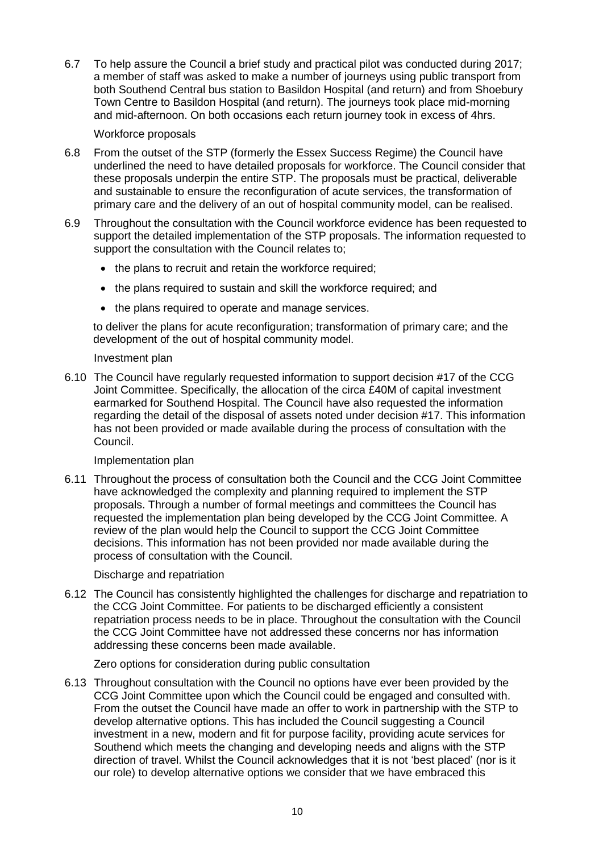6.7 To help assure the Council a brief study and practical pilot was conducted during 2017; a member of staff was asked to make a number of journeys using public transport from both Southend Central bus station to Basildon Hospital (and return) and from Shoebury Town Centre to Basildon Hospital (and return). The journeys took place mid-morning and mid-afternoon. On both occasions each return journey took in excess of 4hrs.

#### Workforce proposals

- 6.8 From the outset of the STP (formerly the Essex Success Regime) the Council have underlined the need to have detailed proposals for workforce. The Council consider that these proposals underpin the entire STP. The proposals must be practical, deliverable and sustainable to ensure the reconfiguration of acute services, the transformation of primary care and the delivery of an out of hospital community model, can be realised.
- 6.9 Throughout the consultation with the Council workforce evidence has been requested to support the detailed implementation of the STP proposals. The information requested to support the consultation with the Council relates to;
	- the plans to recruit and retain the workforce required;
	- the plans required to sustain and skill the workforce required; and
	- the plans required to operate and manage services.

to deliver the plans for acute reconfiguration; transformation of primary care; and the development of the out of hospital community model.

#### Investment plan

6.10 The Council have regularly requested information to support decision #17 of the CCG Joint Committee. Specifically, the allocation of the circa £40M of capital investment earmarked for Southend Hospital. The Council have also requested the information regarding the detail of the disposal of assets noted under decision #17. This information has not been provided or made available during the process of consultation with the Council.

# Implementation plan

6.11 Throughout the process of consultation both the Council and the CCG Joint Committee have acknowledged the complexity and planning required to implement the STP proposals. Through a number of formal meetings and committees the Council has requested the implementation plan being developed by the CCG Joint Committee. A review of the plan would help the Council to support the CCG Joint Committee decisions. This information has not been provided nor made available during the process of consultation with the Council.

# Discharge and repatriation

6.12 The Council has consistently highlighted the challenges for discharge and repatriation to the CCG Joint Committee. For patients to be discharged efficiently a consistent repatriation process needs to be in place. Throughout the consultation with the Council the CCG Joint Committee have not addressed these concerns nor has information addressing these concerns been made available.

# Zero options for consideration during public consultation

6.13 Throughout consultation with the Council no options have ever been provided by the CCG Joint Committee upon which the Council could be engaged and consulted with. From the outset the Council have made an offer to work in partnership with the STP to develop alternative options. This has included the Council suggesting a Council investment in a new, modern and fit for purpose facility, providing acute services for Southend which meets the changing and developing needs and aligns with the STP direction of travel. Whilst the Council acknowledges that it is not 'best placed' (nor is it our role) to develop alternative options we consider that we have embraced this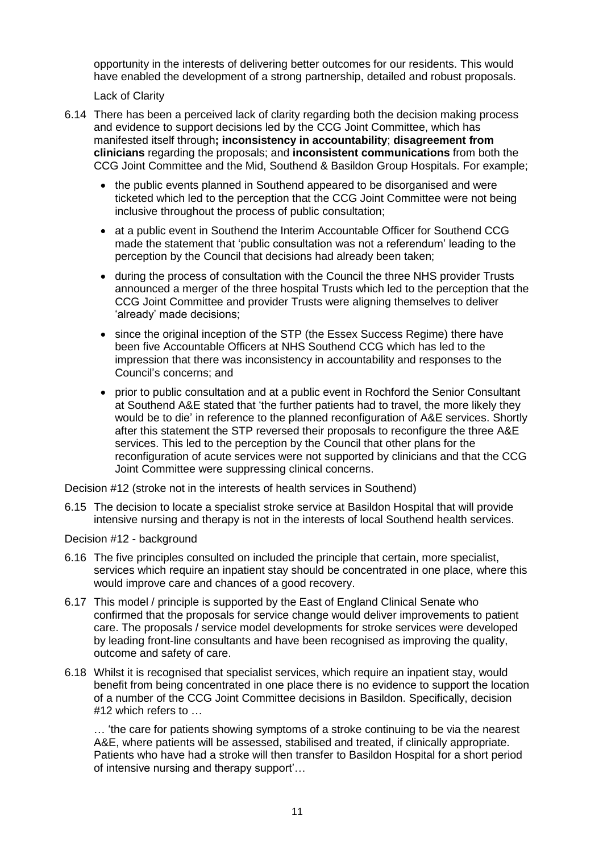opportunity in the interests of delivering better outcomes for our residents. This would have enabled the development of a strong partnership, detailed and robust proposals.

Lack of Clarity

- 6.14 There has been a perceived lack of clarity regarding both the decision making process and evidence to support decisions led by the CCG Joint Committee, which has manifested itself through**; inconsistency in accountability**; **disagreement from clinicians** regarding the proposals; and **inconsistent communications** from both the CCG Joint Committee and the Mid, Southend & Basildon Group Hospitals. For example;
	- the public events planned in Southend appeared to be disorganised and were ticketed which led to the perception that the CCG Joint Committee were not being inclusive throughout the process of public consultation;
	- at a public event in Southend the Interim Accountable Officer for Southend CCG made the statement that 'public consultation was not a referendum' leading to the perception by the Council that decisions had already been taken;
	- during the process of consultation with the Council the three NHS provider Trusts announced a merger of the three hospital Trusts which led to the perception that the CCG Joint Committee and provider Trusts were aligning themselves to deliver 'already' made decisions;
	- since the original inception of the STP (the Essex Success Regime) there have been five Accountable Officers at NHS Southend CCG which has led to the impression that there was inconsistency in accountability and responses to the Council's concerns; and
	- prior to public consultation and at a public event in Rochford the Senior Consultant at Southend A&E stated that 'the further patients had to travel, the more likely they would be to die' in reference to the planned reconfiguration of A&E services. Shortly after this statement the STP reversed their proposals to reconfigure the three A&E services. This led to the perception by the Council that other plans for the reconfiguration of acute services were not supported by clinicians and that the CCG Joint Committee were suppressing clinical concerns.

Decision #12 (stroke not in the interests of health services in Southend)

6.15 The decision to locate a specialist stroke service at Basildon Hospital that will provide intensive nursing and therapy is not in the interests of local Southend health services.

# Decision #12 - background

- 6.16 The five principles consulted on included the principle that certain, more specialist, services which require an inpatient stay should be concentrated in one place, where this would improve care and chances of a good recovery.
- 6.17 This model / principle is supported by the East of England Clinical Senate who confirmed that the proposals for service change would deliver improvements to patient care. The proposals / service model developments for stroke services were developed by leading front-line consultants and have been recognised as improving the quality, outcome and safety of care.
- 6.18 Whilst it is recognised that specialist services, which require an inpatient stay, would benefit from being concentrated in one place there is no evidence to support the location of a number of the CCG Joint Committee decisions in Basildon. Specifically, decision #12 which refers to …

… 'the care for patients showing symptoms of a stroke continuing to be via the nearest A&E, where patients will be assessed, stabilised and treated, if clinically appropriate. Patients who have had a stroke will then transfer to Basildon Hospital for a short period of intensive nursing and therapy support'…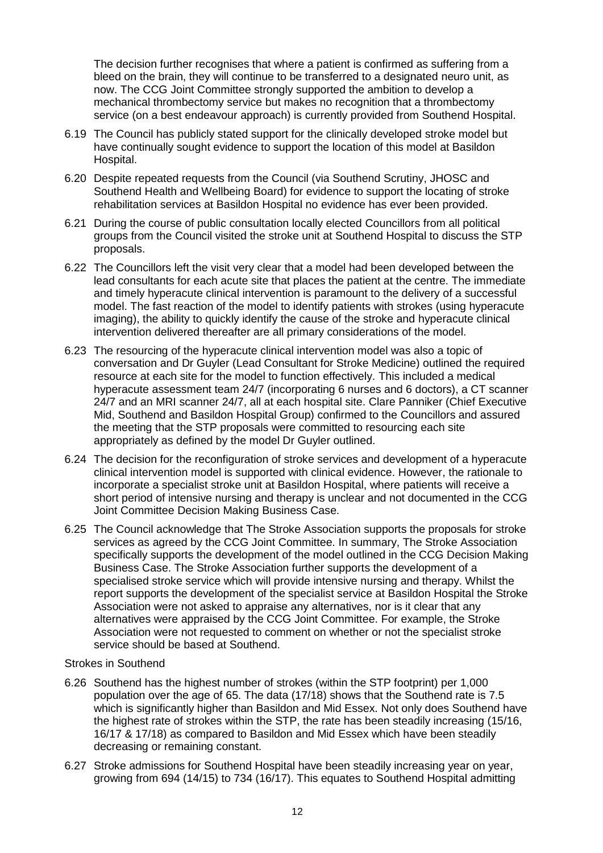The decision further recognises that where a patient is confirmed as suffering from a bleed on the brain, they will continue to be transferred to a designated neuro unit, as now. The CCG Joint Committee strongly supported the ambition to develop a mechanical thrombectomy service but makes no recognition that a thrombectomy service (on a best endeavour approach) is currently provided from Southend Hospital.

- 6.19 The Council has publicly stated support for the clinically developed stroke model but have continually sought evidence to support the location of this model at Basildon Hospital.
- 6.20 Despite repeated requests from the Council (via Southend Scrutiny, JHOSC and Southend Health and Wellbeing Board) for evidence to support the locating of stroke rehabilitation services at Basildon Hospital no evidence has ever been provided.
- 6.21 During the course of public consultation locally elected Councillors from all political groups from the Council visited the stroke unit at Southend Hospital to discuss the STP proposals.
- 6.22 The Councillors left the visit very clear that a model had been developed between the lead consultants for each acute site that places the patient at the centre. The immediate and timely hyperacute clinical intervention is paramount to the delivery of a successful model. The fast reaction of the model to identify patients with strokes (using hyperacute imaging), the ability to quickly identify the cause of the stroke and hyperacute clinical intervention delivered thereafter are all primary considerations of the model.
- <span id="page-11-0"></span>6.23 The resourcing of the hyperacute clinical intervention model was also a topic of conversation and Dr Guyler (Lead Consultant for Stroke Medicine) outlined the required resource at each site for the model to function effectively. This included a medical hyperacute assessment team 24/7 (incorporating 6 nurses and 6 doctors), a CT scanner 24/7 and an MRI scanner 24/7, all at each hospital site. Clare Panniker (Chief Executive Mid, Southend and Basildon Hospital Group) confirmed to the Councillors and assured the meeting that the STP proposals were committed to resourcing each site appropriately as defined by the model Dr Guyler outlined.
- 6.24 The decision for the reconfiguration of stroke services and development of a hyperacute clinical intervention model is supported with clinical evidence. However, the rationale to incorporate a specialist stroke unit at Basildon Hospital, where patients will receive a short period of intensive nursing and therapy is unclear and not documented in the CCG Joint Committee Decision Making Business Case.
- 6.25 The Council acknowledge that The Stroke Association supports the proposals for stroke services as agreed by the CCG Joint Committee. In summary, The Stroke Association specifically supports the development of the model outlined in the CCG Decision Making Business Case. The Stroke Association further supports the development of a specialised stroke service which will provide intensive nursing and therapy. Whilst the report supports the development of the specialist service at Basildon Hospital the Stroke Association were not asked to appraise any alternatives, nor is it clear that any alternatives were appraised by the CCG Joint Committee. For example, the Stroke Association were not requested to comment on whether or not the specialist stroke service should be based at Southend.

#### Strokes in Southend

- 6.26 Southend has the highest number of strokes (within the STP footprint) per 1,000 population over the age of 65. The data (17/18) shows that the Southend rate is 7.5 which is significantly higher than Basildon and Mid Essex. Not only does Southend have the highest rate of strokes within the STP, the rate has been steadily increasing (15/16, 16/17 & 17/18) as compared to Basildon and Mid Essex which have been steadily decreasing or remaining constant.
- 6.27 Stroke admissions for Southend Hospital have been steadily increasing year on year, growing from 694 (14/15) to 734 (16/17). This equates to Southend Hospital admitting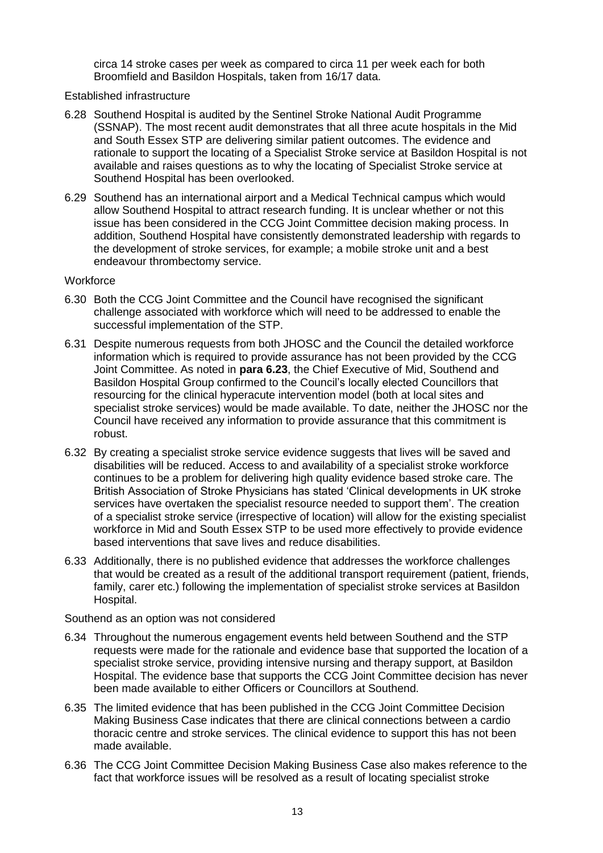circa 14 stroke cases per week as compared to circa 11 per week each for both Broomfield and Basildon Hospitals, taken from 16/17 data.

#### Established infrastructure

- 6.28 Southend Hospital is audited by the Sentinel Stroke National Audit Programme (SSNAP). The most recent audit demonstrates that all three acute hospitals in the Mid and South Essex STP are delivering similar patient outcomes. The evidence and rationale to support the locating of a Specialist Stroke service at Basildon Hospital is not available and raises questions as to why the locating of Specialist Stroke service at Southend Hospital has been overlooked.
- 6.29 Southend has an international airport and a Medical Technical campus which would allow Southend Hospital to attract research funding. It is unclear whether or not this issue has been considered in the CCG Joint Committee decision making process. In addition, Southend Hospital have consistently demonstrated leadership with regards to the development of stroke services, for example; a mobile stroke unit and a best endeavour thrombectomy service.

#### **Workforce**

- 6.30 Both the CCG Joint Committee and the Council have recognised the significant challenge associated with workforce which will need to be addressed to enable the successful implementation of the STP.
- 6.31 Despite numerous requests from both JHOSC and the Council the detailed workforce information which is required to provide assurance has not been provided by the CCG Joint Committee. As noted in **para [6.23](#page-11-0)**, the Chief Executive of Mid, Southend and Basildon Hospital Group confirmed to the Council's locally elected Councillors that resourcing for the clinical hyperacute intervention model (both at local sites and specialist stroke services) would be made available. To date, neither the JHOSC nor the Council have received any information to provide assurance that this commitment is robust.
- 6.32 By creating a specialist stroke service evidence suggests that lives will be saved and disabilities will be reduced. Access to and availability of a specialist stroke workforce continues to be a problem for delivering high quality evidence based stroke care. The British Association of Stroke Physicians has stated 'Clinical developments in UK stroke services have overtaken the specialist resource needed to support them'. The creation of a specialist stroke service (irrespective of location) will allow for the existing specialist workforce in Mid and South Essex STP to be used more effectively to provide evidence based interventions that save lives and reduce disabilities.
- 6.33 Additionally, there is no published evidence that addresses the workforce challenges that would be created as a result of the additional transport requirement (patient, friends, family, carer etc.) following the implementation of specialist stroke services at Basildon Hospital.

Southend as an option was not considered

- 6.34 Throughout the numerous engagement events held between Southend and the STP requests were made for the rationale and evidence base that supported the location of a specialist stroke service, providing intensive nursing and therapy support, at Basildon Hospital. The evidence base that supports the CCG Joint Committee decision has never been made available to either Officers or Councillors at Southend.
- 6.35 The limited evidence that has been published in the CCG Joint Committee Decision Making Business Case indicates that there are clinical connections between a cardio thoracic centre and stroke services. The clinical evidence to support this has not been made available.
- 6.36 The CCG Joint Committee Decision Making Business Case also makes reference to the fact that workforce issues will be resolved as a result of locating specialist stroke